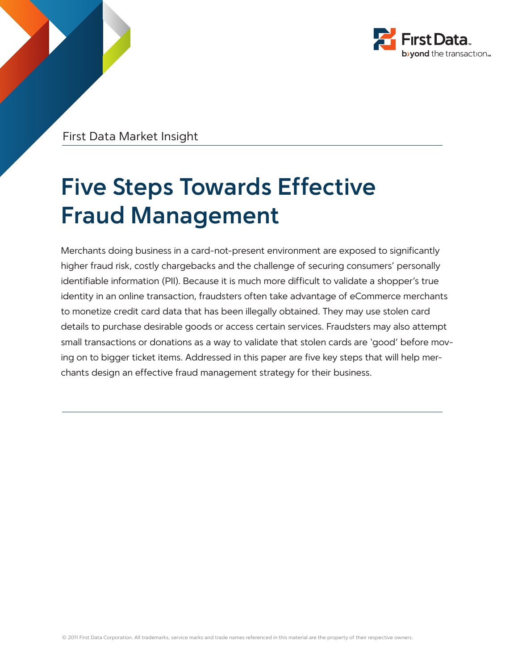

First Data Market Insight

# **Five Steps Towards Effective Fraud Management**

Merchants doing business in a card-not-present environment are exposed to significantly higher fraud risk, costly chargebacks and the challenge of securing consumers' personally identifiable information (PII). Because it is much more difficult to validate a shopper's true identity in an online transaction, fraudsters often take advantage of eCommerce merchants to monetize credit card data that has been illegally obtained. They may use stolen card details to purchase desirable goods or access certain services. Fraudsters may also attempt small transactions or donations as a way to validate that stolen cards are 'good' before moving on to bigger ticket items. Addressed in this paper are five key steps that will help merchants design an effective fraud management strategy for their business.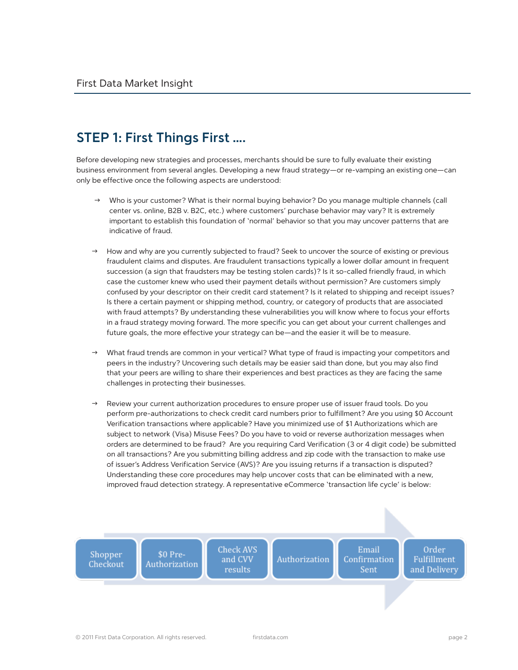### **STEP 1: First Things First ….**

Before developing new strategies and processes, merchants should be sure to fully evaluate their existing business environment from several angles. Developing a new fraud strategy—or re-vamping an existing one—can only be effective once the following aspects are understood:

- Who is your customer? What is their normal buying behavior? Do you manage multiple channels (call center vs. online, B2B v. B2C, etc.) where customers' purchase behavior may vary? It is extremely important to establish this foundation of 'normal' behavior so that you may uncover patterns that are indicative of fraud.
- How and why are you currently subjected to fraud? Seek to uncover the source of existing or previous fraudulent claims and disputes. Are fraudulent transactions typically a lower dollar amount in frequent succession (a sign that fraudsters may be testing stolen cards)? Is it so-called friendly fraud, in which case the customer knew who used their payment details without permission? Are customers simply confused by your descriptor on their credit card statement? Is it related to shipping and receipt issues? Is there a certain payment or shipping method, country, or category of products that are associated with fraud attempts? By understanding these vulnerabilities you will know where to focus your efforts in a fraud strategy moving forward. The more specific you can get about your current challenges and future goals, the more effective your strategy can be—and the easier it will be to measure.
- What fraud trends are common in your vertical? What type of fraud is impacting your competitors and peers in the industry? Uncovering such details may be easier said than done, but you may also find that your peers are willing to share their experiences and best practices as they are facing the same challenges in protecting their businesses.
- Review your current authorization procedures to ensure proper use of issuer fraud tools. Do you perform pre-authorizations to check credit card numbers prior to fulfillment? Are you using \$0 Account Verification transactions where applicable? Have you minimized use of \$1 Authorizations which are subject to network (Visa) Misuse Fees? Do you have to void or reverse authorization messages when orders are determined to be fraud? Are you requiring Card Verification (3 or 4 digit code) be submitted on all transactions? Are you submitting billing address and zip code with the transaction to make use of issuer's Address Verification Service (AVS)? Are you issuing returns if a transaction is disputed? Understanding these core procedures may help uncover costs that can be eliminated with a new, improved fraud detection strategy. A representative eCommerce 'transaction life cycle' is below:

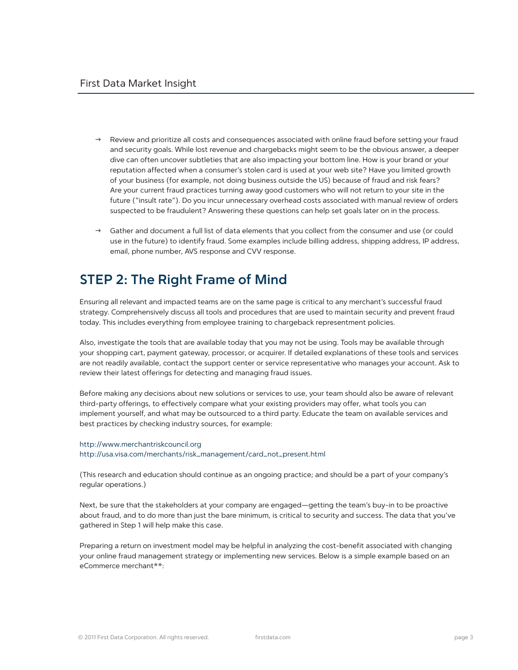- Review and prioritize all costs and consequences associated with online fraud before setting your fraud and security goals. While lost revenue and chargebacks might seem to be the obvious answer, a deeper dive can often uncover subtleties that are also impacting your bottom line. How is your brand or your reputation affected when a consumer's stolen card is used at your web site? Have you limited growth of your business (for example, not doing business outside the US) because of fraud and risk fears? Are your current fraud practices turning away good customers who will not return to your site in the future ("insult rate"). Do you incur unnecessary overhead costs associated with manual review of orders suspected to be fraudulent? Answering these questions can help set goals later on in the process.
- Gather and document a full list of data elements that you collect from the consumer and use (or could use in the future) to identify fraud. Some examples include billing address, shipping address, IP address, email, phone number, AVS response and CVV response.

### **STEP 2: The Right Frame of Mind**

Ensuring all relevant and impacted teams are on the same page is critical to any merchant's successful fraud strategy. Comprehensively discuss all tools and procedures that are used to maintain security and prevent fraud today. This includes everything from employee training to chargeback representment policies.

Also, investigate the tools that are available today that you may not be using. Tools may be available through your shopping cart, payment gateway, processor, or acquirer. If detailed explanations of these tools and services are not readily available, contact the support center or service representative who manages your account. Ask to review their latest offerings for detecting and managing fraud issues.

Before making any decisions about new solutions or services to use, your team should also be aware of relevant third-party offerings, to effectively compare what your existing providers may offer, what tools you can implement yourself, and what may be outsourced to a third party. Educate the team on available services and best practices by checking industry sources, for example:

#### http://www.merchantriskcouncil.org http://usa.visa.com/merchants/risk\_management/card\_not\_present.html

(This research and education should continue as an ongoing practice; and should be a part of your company's regular operations.)

Next, be sure that the stakeholders at your company are engaged—getting the team's buy-in to be proactive about fraud, and to do more than just the bare minimum, is critical to security and success. The data that you've gathered in Step 1 will help make this case.

Preparing a return on investment model may be helpful in analyzing the cost-benefit associated with changing your online fraud management strategy or implementing new services. Below is a simple example based on an eCommerce merchant\*\*: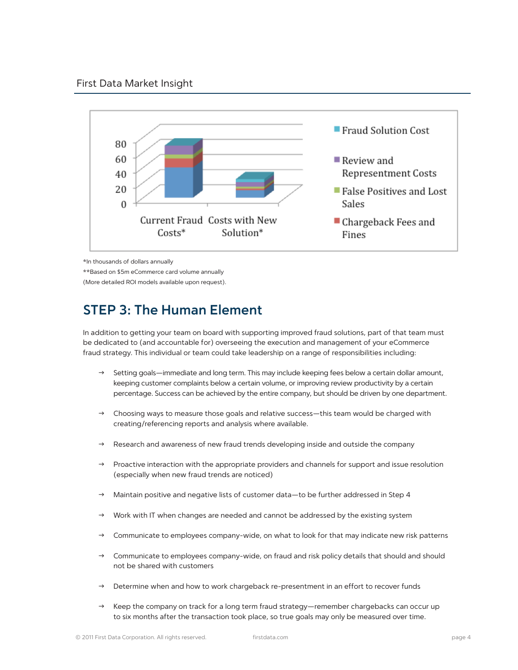

\*In thousands of dollars annually

\*\*Based on \$5m eCommerce card volume annually

(More detailed ROI models available upon request).

### **STEP 3: The Human Element**

In addition to getting your team on board with supporting improved fraud solutions, part of that team must be dedicated to (and accountable for) overseeing the execution and management of your eCommerce fraud strategy. This individual or team could take leadership on a range of responsibilities including:

- Setting goals—immediate and long term. This may include keeping fees below a certain dollar amount, keeping customer complaints below a certain volume, or improving review productivity by a certain percentage. Success can be achieved by the entire company, but should be driven by one department.
- $\rightarrow$  Choosing ways to measure those goals and relative success—this team would be charged with creating/referencing reports and analysis where available.
- Research and awareness of new fraud trends developing inside and outside the company
- $\rightarrow$  Proactive interaction with the appropriate providers and channels for support and issue resolution (especially when new fraud trends are noticed)
- $\rightarrow$  Maintain positive and negative lists of customer data—to be further addressed in Step 4
- Work with IT when changes are needed and cannot be addressed by the existing system
- Communicate to employees company-wide, on what to look for that may indicate new risk patterns
- $\rightarrow$  Communicate to employees company-wide, on fraud and risk policy details that should and should not be shared with customers
- Determine when and how to work chargeback re-presentment in an effort to recover funds
- $\rightarrow$  Keep the company on track for a long term fraud strategy—remember chargebacks can occur up to six months after the transaction took place, so true goals may only be measured over time.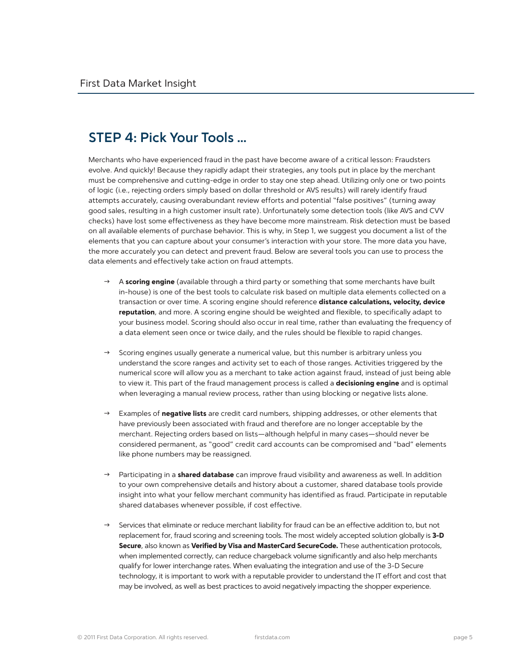### **STEP 4: Pick Your Tools …**

Merchants who have experienced fraud in the past have become aware of a critical lesson: Fraudsters evolve. And quickly! Because they rapidly adapt their strategies, any tools put in place by the merchant must be comprehensive and cutting-edge in order to stay one step ahead. Utilizing only one or two points of logic (i.e., rejecting orders simply based on dollar threshold or AVS results) will rarely identify fraud attempts accurately, causing overabundant review efforts and potential "false positives" (turning away good sales, resulting in a high customer insult rate). Unfortunately some detection tools (like AVS and CVV checks) have lost some effectiveness as they have become more mainstream. Risk detection must be based on all available elements of purchase behavior. This is why, in Step 1, we suggest you document a list of the elements that you can capture about your consumer's interaction with your store. The more data you have, the more accurately you can detect and prevent fraud. Below are several tools you can use to process the data elements and effectively take action on fraud attempts.

- $\rightarrow$  A scoring engine (available through a third party or something that some merchants have built in-house) is one of the best tools to calculate risk based on multiple data elements collected on a transaction or over time. A scoring engine should reference distance calculations, velocity, device reputation, and more. A scoring engine should be weighted and flexible, to specifically adapt to your business model. Scoring should also occur in real time, rather than evaluating the frequency of a data element seen once or twice daily, and the rules should be flexible to rapid changes.
- Scoring engines usually generate a numerical value, but this number is arbitrary unless you understand the score ranges and activity set to each of those ranges. Activities triggered by the numerical score will allow you as a merchant to take action against fraud, instead of just being able to view it. This part of the fraud management process is called a **decisioning engine** and is optimal when leveraging a manual review process, rather than using blocking or negative lists alone.
- $\rightarrow$  Examples of **negative lists** are credit card numbers, shipping addresses, or other elements that have previously been associated with fraud and therefore are no longer acceptable by the merchant. Rejecting orders based on lists—although helpful in many cases—should never be considered permanent, as "good" credit card accounts can be compromised and "bad" elements like phone numbers may be reassigned.
- → Participating in a **shared database** can improve fraud visibility and awareness as well. In addition to your own comprehensive details and history about a customer, shared database tools provide insight into what your fellow merchant community has identified as fraud. Participate in reputable shared databases whenever possible, if cost effective.
- $\rightarrow$  Services that eliminate or reduce merchant liability for fraud can be an effective addition to, but not replacement for, fraud scoring and screening tools. The most widely accepted solution globally is 3-D Secure, also known as Verified by Visa and MasterCard SecureCode. These authentication protocols, when implemented correctly, can reduce chargeback volume significantly and also help merchants qualify for lower interchange rates. When evaluating the integration and use of the 3-D Secure technology, it is important to work with a reputable provider to understand the IT effort and cost that may be involved, as well as best practices to avoid negatively impacting the shopper experience.